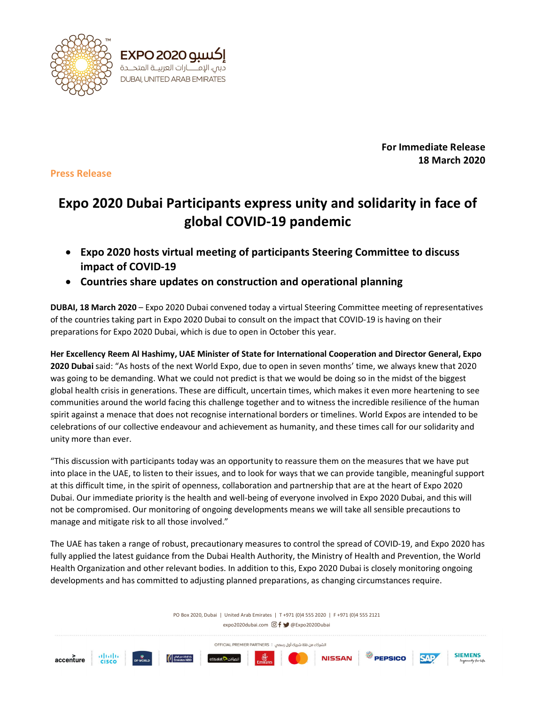

For Immediate Release 18 March 2020

Press Release

## Expo 2020 Dubai Participants express unity and solidarity in face of global COVID-19 pandemic

- Expo 2020 hosts virtual meeting of participants Steering Committee to discuss impact of COVID-19
- Countries share updates on construction and operational planning

DUBAI, 18 March 2020 – Expo 2020 Dubai convened today a virtual Steering Committee meeting of representatives of the countries taking part in Expo 2020 Dubai to consult on the impact that COVID-19 is having on their preparations for Expo 2020 Dubai, which is due to open in October this year.

Her Excellency Reem Al Hashimy, UAE Minister of State for International Cooperation and Director General, Expo 2020 Dubai said: "As hosts of the next World Expo, due to open in seven months' time, we always knew that 2020 was going to be demanding. What we could not predict is that we would be doing so in the midst of the biggest global health crisis in generations. These are difficult, uncertain times, which makes it even more heartening to see communities around the world facing this challenge together and to witness the incredible resilience of the human spirit against a menace that does not recognise international borders or timelines. World Expos are intended to be celebrations of our collective endeavour and achievement as humanity, and these times call for our solidarity and unity more than ever.

"This discussion with participants today was an opportunity to reassure them on the measures that we have put into place in the UAE, to listen to their issues, and to look for ways that we can provide tangible, meaningful support at this difficult time, in the spirit of openness, collaboration and partnership that are at the heart of Expo 2020 Dubai. Our immediate priority is the health and well-being of everyone involved in Expo 2020 Dubai, and this will not be compromised. Our monitoring of ongoing developments means we will take all sensible precautions to manage and mitigate risk to all those involved."

The UAE has taken a range of robust, precautionary measures to control the spread of COVID-19, and Expo 2020 has fully applied the latest guidance from the Dubai Health Authority, the Ministry of Health and Prevention, the World Health Organization and other relevant bodies. In addition to this, Expo 2020 Dubai is closely monitoring ongoing developments and has committed to adjusting planned preparations, as changing circumstances require.

> PO Box 2020, Dubai | United Arab Emirates | T +971 (0)4 555 2020 | F +971 (0)4 555 2121 expo2020dubai.com © f ♥ @Expo2020Dubai